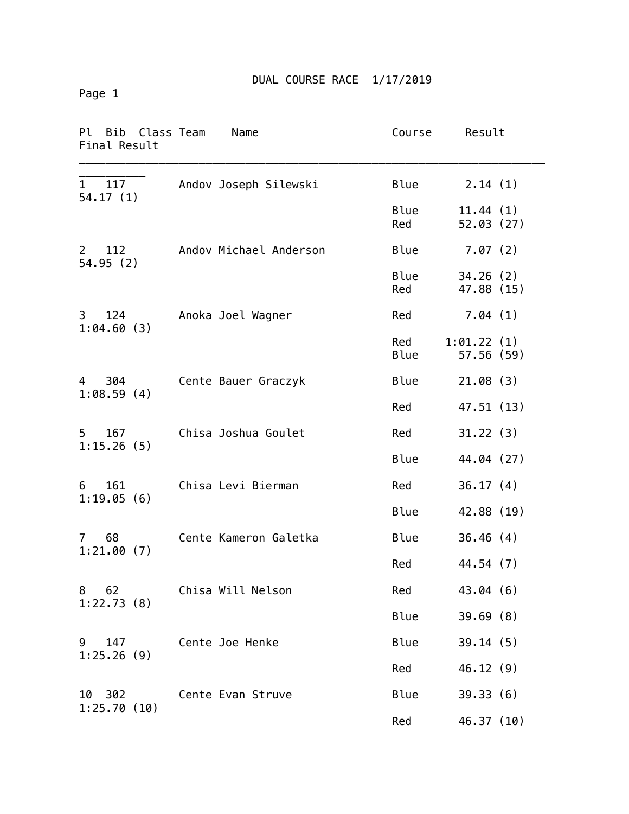Page 1

| Ρl<br>Bib Class Team<br>Final Result | Name                   | Course      | Result                  |
|--------------------------------------|------------------------|-------------|-------------------------|
| 1<br>117<br>54.17(1)                 | Andov Joseph Silewski  | Blue        | 2.14(1)                 |
|                                      |                        | Blue<br>Red | 11.44(1)<br>52.03(27)   |
| 112<br>2<br>54.95(2)                 | Andov Michael Anderson | <b>Blue</b> | 7.07(2)                 |
|                                      |                        | Blue<br>Red | 34.26(2)<br>47.88 (15)  |
| 124<br>3<br>1:04.60(3)               | Anoka Joel Wagner      | Red         | 7.04(1)                 |
|                                      |                        | Red<br>Blue | 1:01.22(1)<br>57.56(59) |
| 4 304<br>1:08.59(4)                  | Cente Bauer Graczyk    | <b>Blue</b> | 21.08(3)                |
|                                      |                        | Red         | 47.51 (13)              |
| $5 -$<br>167<br>1:15.26(5)           | Chisa Joshua Goulet    | Red         | 31.22(3)                |
|                                      |                        | Blue        | 44.04 (27)              |
| 161<br>6<br>1:19.05(6)               | Chisa Levi Bierman     | Red         | 36.17(4)                |
|                                      |                        | <b>Blue</b> | 42.88 (19)              |
| 68<br>$7^{\circ}$<br>1:21.00(7)      | Cente Kameron Galetka  | <b>Blue</b> | 36.46(4)                |
|                                      |                        | Red         | 44.54 (7)               |
| 8 62<br>1:22.73(8)                   | Chisa Will Nelson      | Red         | 43.04(6)                |
|                                      |                        | Blue        | 39.69(8)                |
| 9 147                                | Cente Joe Henke        | Blue        | 39.14(5)                |
| 1:25.26(9)                           |                        | Red         | 46.12(9)                |
| 10 302                               | Cente Evan Struve      | <b>Blue</b> | 39.33(6)                |
| 1:25.70(10)                          |                        | Red         | 46.37 (10)              |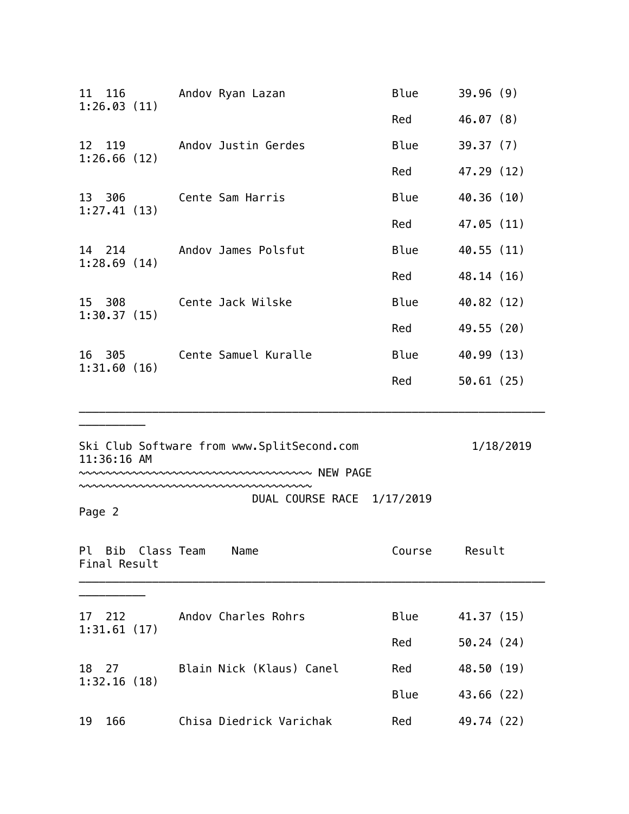| 11 116<br>1:26.03(11) | Andov Ryan Lazan                                                                                         | <b>Blue</b> | 39.96(9)   |
|-----------------------|----------------------------------------------------------------------------------------------------------|-------------|------------|
|                       |                                                                                                          | Red         | 46.07(8)   |
| 12 119                | Andov Justin Gerdes                                                                                      | <b>Blue</b> | 39.37(7)   |
| 1:26.66(12)           |                                                                                                          | Red         | 47.29 (12) |
| 13 306                | Cente Sam Harris                                                                                         | Blue        | 40.36 (10) |
| 1:27.41(13)           |                                                                                                          | Red         | 47.05 (11) |
| 14 214                | Andov James Polsfut                                                                                      | <b>Blue</b> | 40.55 (11) |
| 1:28.69(14)           |                                                                                                          | Red         | 48.14 (16) |
| 15 308                | Cente Jack Wilske                                                                                        | <b>Blue</b> | 40.82 (12) |
| 1:30.37(15)           |                                                                                                          | Red         | 49.55 (20) |
| 16 305                | Cente Samuel Kuralle                                                                                     | Blue        | 40.99 (13) |
| 1:31.60(16)           |                                                                                                          | Red         | 50.61(25)  |
| 11:36:16 AM           | Ski Club Software from www.SplitSecond.com                                                               |             | 1/18/2019  |
|                       | ∾~~~~~~~ NEW PAGE                                                                                        |             |            |
| Page 2                | $\sim\sim\sim\sim\sim\sim\sim\sim\sim\sim\sim\sim\sim\sim\sim\sim\sim\sim$<br>DUAL COURSE RACE 1/17/2019 |             |            |
| Final Result          | Pl Bib Class Team Name                                                                                   | Course      | Result     |
|                       | 17 212 Andov Charles Rohrs Blue 41.37 (15)                                                               |             |            |

| 17 212<br>1:31.61(17) | Andov Charles Rohrs | Blue                     | 41.37 (15) |            |
|-----------------------|---------------------|--------------------------|------------|------------|
|                       |                     |                          | Red        | 50.24(24)  |
| 18 27<br>1:32.16(18)  |                     | Blain Nick (Klaus) Canel | Red        | 48.50 (19) |
|                       |                     |                          | Blue       | 43.66(22)  |
| 19<br>166             |                     | Chisa Diedrick Varichak  | Red        | 49.74 (22) |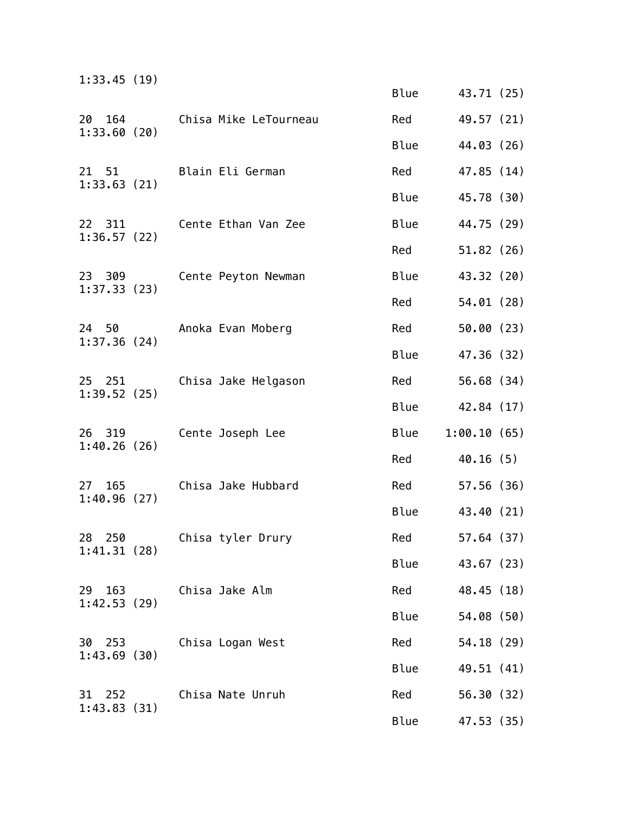| 1:33.45(19)              |                       |             |             |  |
|--------------------------|-----------------------|-------------|-------------|--|
|                          |                       | <b>Blue</b> | 43.71 (25)  |  |
| 164<br>20<br>1:33.60(20) | Chisa Mike LeTourneau | Red         | 49.57 (21)  |  |
|                          |                       | <b>Blue</b> | 44.03 (26)  |  |
| 21 51<br>1:33.63(21)     | Blain Eli German      | Red         | 47.85 (14)  |  |
|                          |                       | Blue        | 45.78 (30)  |  |
| 22 311<br>1:36.57(22)    | Cente Ethan Van Zee   | <b>Blue</b> | 44.75 (29)  |  |
|                          |                       | Red         | 51.82(26)   |  |
| 23 309<br>1:37.33(23)    | Cente Peyton Newman   | <b>Blue</b> | 43.32 (20)  |  |
|                          |                       | Red         | 54.01(28)   |  |
| 24 50<br>1:37.36(24)     | Anoka Evan Moberg     | Red         | 50.00(23)   |  |
|                          |                       | <b>Blue</b> | 47.36 (32)  |  |
| 25 251<br>1:39.52(25)    | Chisa Jake Helgason   | Red         | 56.68 (34)  |  |
|                          |                       | <b>Blue</b> | 42.84 (17)  |  |
| 26 319<br>1:40.26(26)    | Cente Joseph Lee      | <b>Blue</b> | 1:00.10(65) |  |
|                          |                       | Red         | 40.16(5)    |  |
| 165<br>27<br>1:40.96(27) | Chisa Jake Hubbard    | Red         | 57.56(36)   |  |
|                          |                       | <b>Blue</b> | 43.40 (21)  |  |
| 28 250<br>1:41.31(28)    | Chisa tyler Drury     | Red         | 57.64(37)   |  |
|                          |                       | Blue        | 43.67 (23)  |  |
| 29 163<br>1:42.53(29)    | Chisa Jake Alm        | Red         | 48.45 (18)  |  |
|                          |                       | Blue        | 54.08 (50)  |  |
| 30 253<br>1:43.69(30)    | Chisa Logan West      | Red         | 54.18 (29)  |  |
|                          |                       | <b>Blue</b> | 49.51 (41)  |  |
| 31 252<br>1:43.83(31)    | Chisa Nate Unruh      | Red         | 56.30(32)   |  |
|                          |                       | Blue        | 47.53 (35)  |  |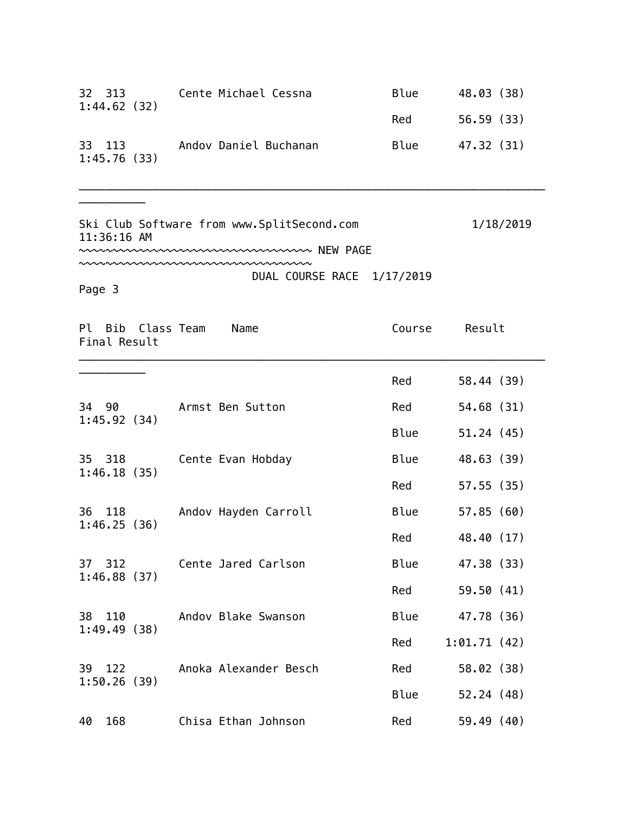| 32 313<br>1:44.62(32)             | Cente Michael Cessna                                                                      | <b>Blue</b> | 48.03 (38)  |
|-----------------------------------|-------------------------------------------------------------------------------------------|-------------|-------------|
|                                   |                                                                                           | Red         | 56.59 (33)  |
| 33 113<br>1:45.76(33)             | Andov Daniel Buchanan                                                                     | Blue        | 47.32 (31)  |
| 11:36:16 AM                       | Ski Club Software from www.SplitSecond.com<br>~~~~~~~~~~~~~~~~~~~~~~~~~~~~~~~~~~ NEW PAGE |             | 1/18/2019   |
| Page 3                            | DUAL COURSE RACE 1/17/2019                                                                |             |             |
| Pl Bib Class Team<br>Final Result | Name                                                                                      | Course      | Result      |
|                                   |                                                                                           | Red         | 58.44 (39)  |
|                                   | 34 90 Armst Ben Sutton                                                                    | Red         | 54.68 (31)  |
| 1:45.92(34)                       |                                                                                           | Blue        | 51.24(45)   |
| 35 318                            | Cente Evan Hobday                                                                         | Blue        | 48.63 (39)  |
| 1:46.18(35)                       |                                                                                           | Red         | 57.55 (35)  |
| 36 118                            | Andov Hayden Carroll                                                                      | Blue        | 57.85(60)   |
| 1:46.25(36)                       |                                                                                           | Red         | 48.40 (17)  |
| 37<br>312                         | Cente Jared Carlson                                                                       | Blue        | 47.38 (33)  |
| 1:46.88(37)                       |                                                                                           | Red         | 59.50 (41)  |
| 38 110                            | Andov Blake Swanson                                                                       | <b>Blue</b> | 47.78 (36)  |
| 1:49.49(38)                       |                                                                                           | Red         | 1:01.71(42) |
| 39 122                            | Anoka Alexander Besch                                                                     | Red         | 58.02 (38)  |
| 1:50.26(39)                       |                                                                                           | Blue        | 52.24(48)   |
| 168<br>40                         | Chisa Ethan Johnson                                                                       | Red         | 59.49 (40)  |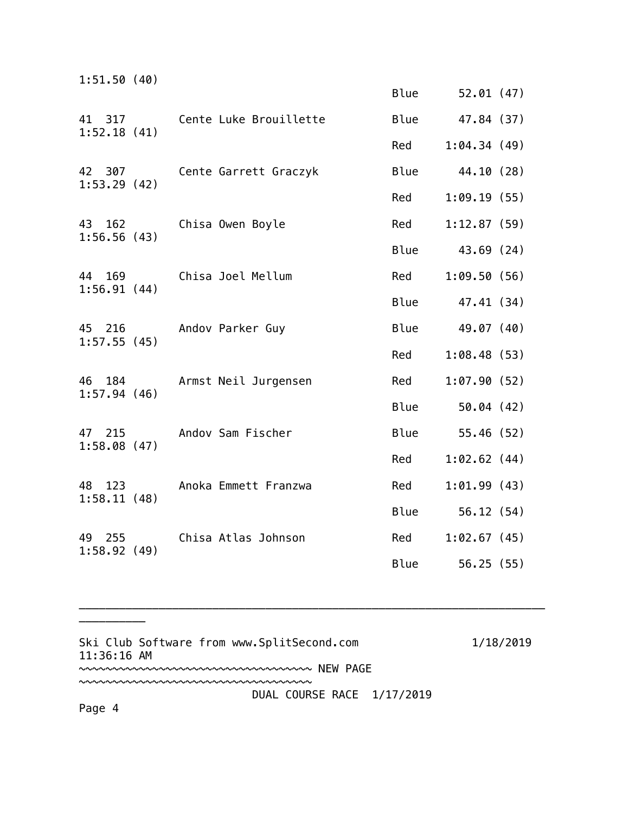| 1:51.50(40)              |                        |             |             |
|--------------------------|------------------------|-------------|-------------|
|                          |                        | Blue        | 52.01 (47)  |
| 41 317                   | Cente Luke Brouillette | Blue        | 47.84 (37)  |
| 1:52.18(41)              |                        | Red         | 1:04.34(49) |
| 42 307<br>1:53.29(42)    | Cente Garrett Graczyk  | <b>Blue</b> | 44.10 (28)  |
|                          |                        | Red         | 1:09.19(55) |
| 43 162<br>1:56.56(43)    | Chisa Owen Boyle       | Red         | 1:12.87(59) |
|                          |                        | Blue        | 43.69 (24)  |
| 44 169<br>1:56.91(44)    | Chisa Joel Mellum      | Red         | 1:09.50(56) |
|                          |                        | <b>Blue</b> | 47.41 (34)  |
| 45<br>216<br>1:57.55(45) | Andov Parker Guy       | <b>Blue</b> | 49.07 (40)  |
|                          |                        | Red         | 1:08.48(53) |
| 46<br>184<br>1:57.94(46) | Armst Neil Jurgensen   | Red         | 1:07.90(52) |
|                          |                        | <b>Blue</b> | 50.04(42)   |
| 47 215<br>1:58.08(47)    | Andov Sam Fischer      | Blue        | 55.46(52)   |
|                          |                        | Red         | 1:02.62(44) |
| 48 123<br>1:58.11(48)    | Anoka Emmett Franzwa   | Red         | 1:01.99(43) |
|                          |                        | Blue        | 56.12(54)   |
| 49<br>255<br>1:58.92(49) | Chisa Atlas Johnson    | Red         | 1:02.67(45) |
|                          |                        | Blue        | 56.25(55)   |

Ski Club Software from www.SplitSecond.com 1/18/2019 11:36:16 AM ~~~~~~~~~~~~~~~~~~~~~~~~~~~~~~~~~~~ NEW PAGE ~~~~~~~~~~~~~~~~~~~~~~~~~~~~~~~~~~~

\_\_\_\_\_\_\_\_\_\_\_\_\_\_\_\_\_\_\_\_\_\_\_\_\_\_\_\_\_\_\_\_\_\_\_\_\_\_\_\_\_\_\_\_\_\_\_\_\_\_\_\_\_\_\_\_\_\_\_\_\_\_\_\_\_\_\_\_\_\_

DUAL COURSE RACE 1/17/2019

Page 4

\_\_\_\_\_\_\_\_\_\_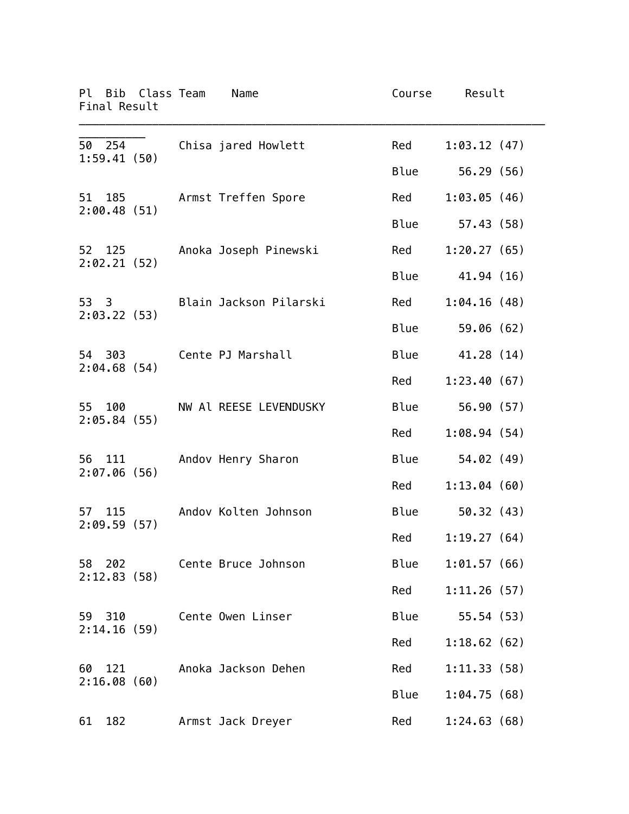|    |                       | Pl Bib Class Team<br>Final Result | Name                        | Course | Result           |
|----|-----------------------|-----------------------------------|-----------------------------|--------|------------------|
|    |                       | 50 254                            | Chisa jared Howlett         | Red    | 1:03.12(47)      |
|    | 1:59.41(50)           |                                   |                             | Blue   | 56.29 (56)       |
|    |                       |                                   | 51 185 Armst Treffen Spore  | Red    | 1:03.05(46)      |
|    |                       | 2:00.48(51)                       |                             | Blue   | 57.43 (58)       |
|    |                       | 52 125<br>2:02.21(52)             | Anoka Joseph Pinewski       | Red    | 1:20.27(65)      |
|    |                       |                                   |                             | Blue   | 41.94 (16)       |
|    | 2:03.22(53)           |                                   | 53 3 Blain Jackson Pilarski | Red    | 1:04.16(48)      |
|    |                       |                                   |                             | Blue   | 59.06 (62)       |
|    | 54 303                | 2:04.68(54)                       | Cente PJ Marshall           | Blue   | 41.28 (14)       |
|    |                       |                                   |                             | Red    | 1:23.40(67)      |
|    |                       | 55 100<br>2:05.84(55)             | NW Al REESE LEVENDUSKY      | Blue   | 56.90 (57)       |
|    |                       |                                   |                             | Red    | 1:08.94(54)      |
|    | 2:07.06(56)           | 56 111                            | Andov Henry Sharon          | Blue   | 54.02(49)        |
|    |                       |                                   |                             | Red    | 1:13.04(60)      |
|    | 2:09.59(57)           | 57 115                            | Andov Kolten Johnson        | Blue   | 50.32(43)        |
|    |                       |                                   |                             |        | Red 1:19.27 (64) |
|    | 58 202<br>2:12.83(58) |                                   | Cente Bruce Johnson         | Blue   | 1:01.57(66)      |
|    |                       |                                   |                             | Red    | 1:11.26(57)      |
|    | 59 310<br>2:14.16(59) |                                   | Cente Owen Linser           | Blue   | 55.54(53)        |
|    |                       |                                   |                             | Red    | 1:18.62(62)      |
| 60 | 121<br>2:16.08(60)    |                                   | Anoka Jackson Dehen         | Red    | 1:11.33(58)      |
|    |                       |                                   |                             | Blue   | 1:04.75(68)      |
| 61 | 182                   |                                   | Armst Jack Dreyer           | Red    | 1:24.63(68)      |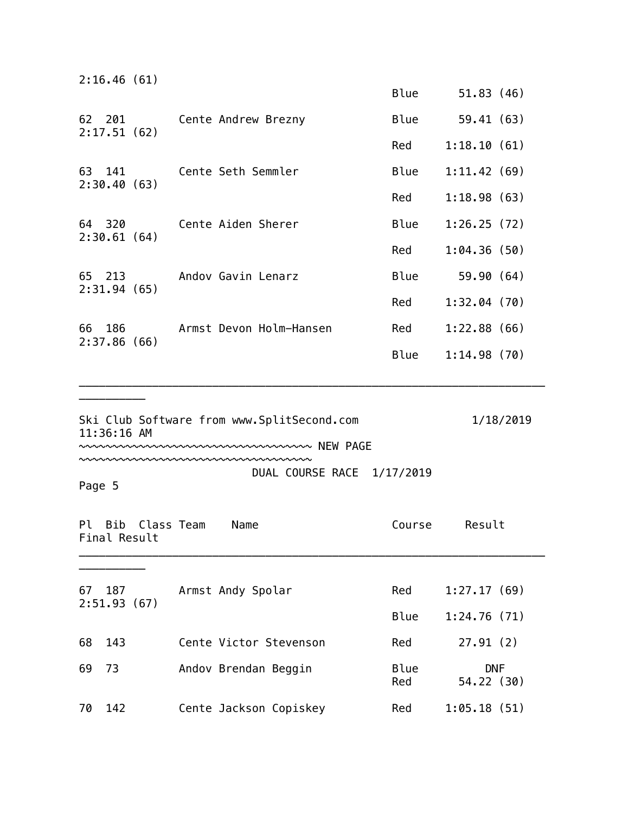|        | 2:16.46(61)           |            |                                                                                |                    |                          |
|--------|-----------------------|------------|--------------------------------------------------------------------------------|--------------------|--------------------------|
|        |                       |            |                                                                                | Blue               | 51.83(46)                |
|        | 2:17.51(62)           |            | 62 201 Cente Andrew Brezny                                                     | Blue               | 59.41(63)                |
|        |                       |            |                                                                                | Red                | 1:18.10(61)              |
|        | 2:30.40(63)           | 63 141     | Cente Seth Semmler                                                             | Blue               | 1:11.42(69)              |
|        |                       |            |                                                                                | Red                | 1:18.98(63)              |
|        | 2:30.61(64)           |            | 64 320 Cente Aiden Sherer                                                      | Blue               | 1:26.25(72)              |
|        |                       |            |                                                                                | Red                | 1:04.36(50)              |
|        | 65 213                |            | Andov Gavin Lenarz                                                             | Blue               | 59.90 (64)               |
|        | 2:31.94(65)           |            |                                                                                | Red                | 1:32.04(70)              |
| 66     |                       | 186 — 187  | Armst Devon Holm-Hansen                                                        | Red                | 1:22.88(66)              |
|        | 2:37.86(66)           |            |                                                                                | Blue               | 1:14.98(70)              |
|        |                       |            |                                                                                |                    |                          |
|        | 11:36:16 AM           |            | Ski Club Software from www.SplitSecond.com<br>www.www.www.www.www.www.new-PAGE |                    | 1/18/2019                |
|        |                       |            | DUAL COURSE RACE 1/17/2019                                                     |                    |                          |
| Page 5 |                       |            |                                                                                |                    |                          |
| Pl     | Bib<br>Final Result   | Class Team | Name                                                                           | Course             | Result                   |
|        |                       |            |                                                                                |                    |                          |
|        | 67 187<br>2:51.93(67) |            | Armst Andy Spolar                                                              | Red                | 1:27.17(69)              |
|        |                       |            |                                                                                | Blue               | 1:24.76(71)              |
| 68     | 143                   |            | Cente Victor Stevenson                                                         | Red                | 27.91(2)                 |
| 69     | 73                    |            | Andov Brendan Beggin                                                           | <b>Blue</b><br>Red | <b>DNF</b><br>54.22 (30) |
|        |                       |            |                                                                                |                    |                          |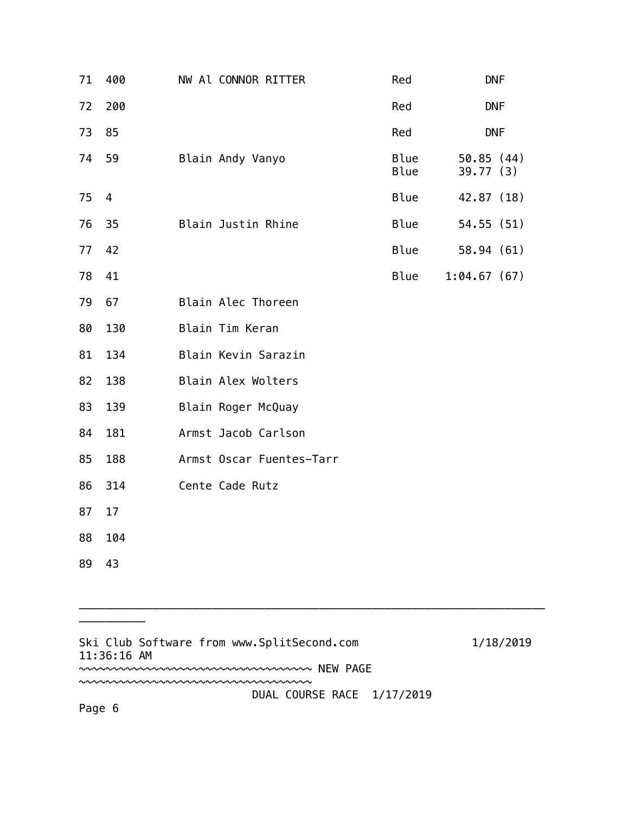| 71 | 400 | NW Al CONNOR RITTER      | Red          | <b>DNF</b>            |
|----|-----|--------------------------|--------------|-----------------------|
| 72 | 200 |                          | Red          | <b>DNF</b>            |
| 73 | 85  |                          | Red          | <b>DNF</b>            |
| 74 | 59  | Blain Andy Vanyo         | Blue<br>Blue | 50.85(44)<br>39.77(3) |
| 75 | 4   |                          | Blue         | 42.87 (18)            |
| 76 | 35  | Blain Justin Rhine       | Blue         | 54.55 (51)            |
| 77 | 42  |                          | Blue         | 58.94 (61)            |
| 78 | 41  |                          | Blue         | 1:04.67(67)           |
| 79 | 67  | Blain Alec Thoreen       |              |                       |
| 80 | 130 | Blain Tim Keran          |              |                       |
| 81 | 134 | Blain Kevin Sarazin      |              |                       |
| 82 | 138 | Blain Alex Wolters       |              |                       |
| 83 | 139 | Blain Roger McQuay       |              |                       |
| 84 | 181 | Armst Jacob Carlson      |              |                       |
| 85 | 188 | Armst Oscar Fuentes-Tarr |              |                       |
| 86 | 314 | Cente Cade Rutz          |              |                       |
| 87 | 17  |                          |              |                       |
| 88 | 104 |                          |              |                       |
| 89 | 43  |                          |              |                       |

Ski Club Software from www.SplitSecond.com 1/18/2019 11:36:16 AM ~~~~~~~~~~~~~~~~~~~~~~~~~~~~~~~~~~~ NEW PAGE ~~~~~~~~~~~~~~~~~~~~~~~~~~~~~~~~~~~ DUAL COURSE RACE 1/17/2019

\_\_\_\_\_\_\_\_\_\_\_\_\_\_\_\_\_\_\_\_\_\_\_\_\_\_\_\_\_\_\_\_\_\_\_\_\_\_\_\_\_\_\_\_\_\_\_\_\_\_\_\_\_\_\_\_\_\_\_\_\_\_\_\_\_\_\_\_\_\_

\_\_\_\_\_\_\_\_\_\_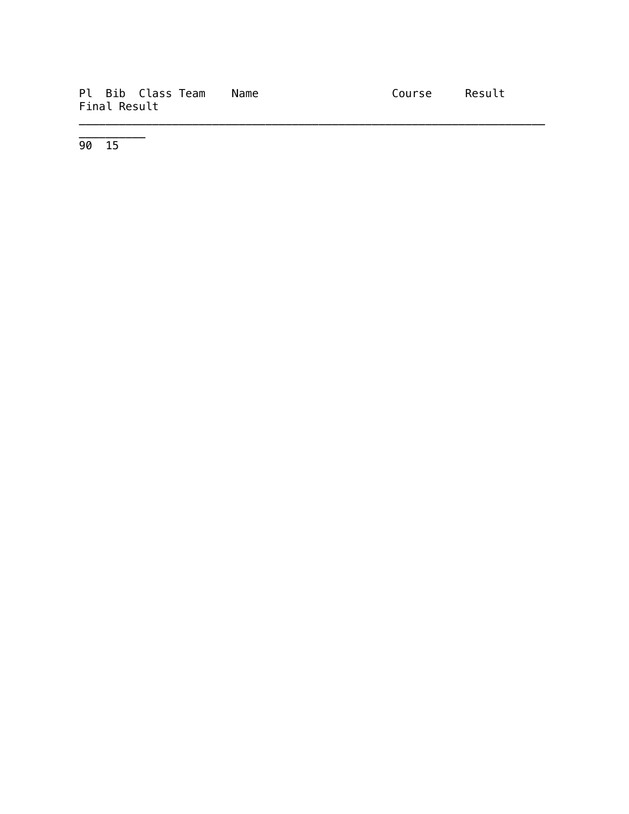|              | Pl Bib Class Team Name | Course Result |  |
|--------------|------------------------|---------------|--|
| Final Result |                        |               |  |

\_\_\_\_\_\_\_\_\_\_\_\_\_\_\_\_\_\_\_\_\_\_\_\_\_\_\_\_\_\_\_\_\_\_\_\_\_\_\_\_\_\_\_\_\_\_\_\_\_\_\_\_\_\_\_\_\_\_\_\_\_\_\_\_\_\_\_\_\_\_

90 15

\_\_\_\_\_\_\_\_\_\_